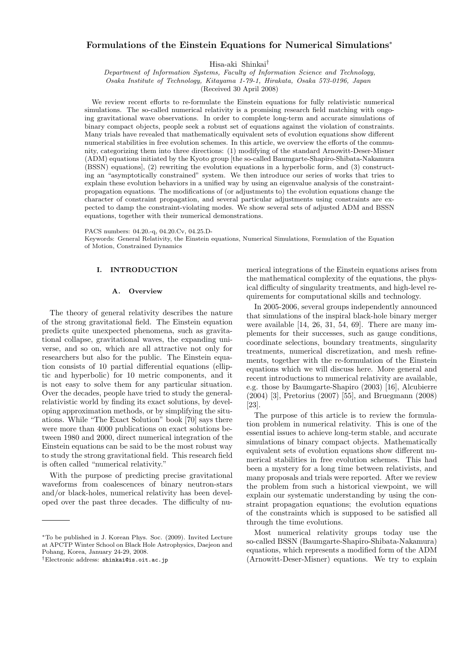# **Formulations of the Einstein Equations for Numerical Simulations***<sup>∗</sup>*

Hisa-aki Shinkai*†*

*Department of Information Systems, Faculty of Information Science and Technology,*

*Osaka Institute of Technology, Kitayama 1-79-1, Hirakata, Osaka 573-0196, Japan*

(Received 30 April 2008)

We review recent efforts to re-formulate the Einstein equations for fully relativistic numerical simulations. The so-called numerical relativity is a promising research field matching with ongoing gravitational wave observations. In order to complete long-term and accurate simulations of binary compact objects, people seek a robust set of equations against the violation of constraints. Many trials have revealed that mathematically equivalent sets of evolution equations show different numerical stabilities in free evolution schemes. In this article, we overview the efforts of the community, categorizing them into three directions: (1) modifying of the standard Arnowitt-Deser-Misner (ADM) equations initiated by the Kyoto group [the so-called Baumgarte-Shapiro-Shibata-Nakamura (BSSN) equations], (2) rewriting the evolution equations in a hyperbolic form, and (3) constructing an "asymptotically constrained" system. We then introduce our series of works that tries to explain these evolution behaviors in a unified way by using an eigenvalue analysis of the constraintpropagation equations. The modifications of (or adjustments to) the evolution equations change the character of constraint propagation, and several particular adjustments using constraints are expected to damp the constraint-violating modes. We show several sets of adjusted ADM and BSSN equations, together with their numerical demonstrations.

PACS numbers: 04.20.-q, 04.20.Cv, 04.25.D-

Keywords: General Relativity, the Einstein equations, Numerical Simulations, Formulation of the Equation of Motion, Constrained Dynamics

### **I. INTRODUCTION**

### **A. Overview**

The theory of general relativity describes the nature of the strong gravitational field. The Einstein equation predicts quite unexpected phenomena, such as gravitational collapse, gravitational waves, the expanding universe, and so on, which are all attractive not only for researchers but also for the public. The Einstein equation consists of 10 partial differential equations (elliptic and hyperbolic) for 10 metric components, and it is not easy to solve them for any particular situation. Over the decades, people have tried to study the generalrelativistic world by finding its exact solutions, by developing approximation methods, or by simplifying the situations. While "The Exact Solution" book [70] says there were more than 4000 publications on exact solutions between 1980 and 2000, direct numerical integration of the Einstein equations can be said to be the most robust way to study the strong gravitational field. This research field is often called "numerical relativity."

With the purpose of predicting precise gravitational waveforms from coalescences of binary neutron-stars and/or black-holes, numerical relativity has been developed over the past three decades. The difficulty of numerical integrations of the Einstein equations arises from the mathematical complexity of the equations, the physical difficulty of singularity treatments, and high-level requirements for computational skills and technology.

In 2005-2006, several groups independently announced that simulations of the inspiral black-hole binary merger were available [14, 26, 31, 54, 69]. There are many implements for their successes, such as gauge conditions, coordinate selections, boundary treatments, singularity treatments, numerical discretization, and mesh refinements, together with the re-formulation of the Einstein equations which we will discuss here. More general and recent introductions to numerical relativity are available, e.g. those by Baumgarte-Shapiro (2003) [16], Alcubierre (2004) [3], Pretorius (2007) [55], and Bruegmann (2008) [23].

The purpose of this article is to review the formulation problem in numerical relativity. This is one of the essential issues to achieve long-term stable, and accurate simulations of binary compact objects. Mathematically equivalent sets of evolution equations show different numerical stabilities in free evolution schemes. This had been a mystery for a long time between relativists, and many proposals and trials were reported. After we review the problem from such a historical viewpoint, we will explain our systematic understanding by using the constraint propagation equations; the evolution equations of the constraints which is supposed to be satisfied all through the time evolutions.

Most numerical relativity groups today use the so-called BSSN (Baumgarte-Shapiro-Shibata-Nakamura) equations, which represents a modified form of the ADM (Arnowitt-Deser-Misner) equations. We try to explain

*<sup>∗</sup>*To be published in J. Korean Phys. Soc. (2009). Invited Lecture at APCTP Winter School on Black Hole Astrophysics, Daejeon and Pohang, Korea, January 24-29, 2008.

*<sup>†</sup>*Electronic address: shinkai@is.oit.ac.jp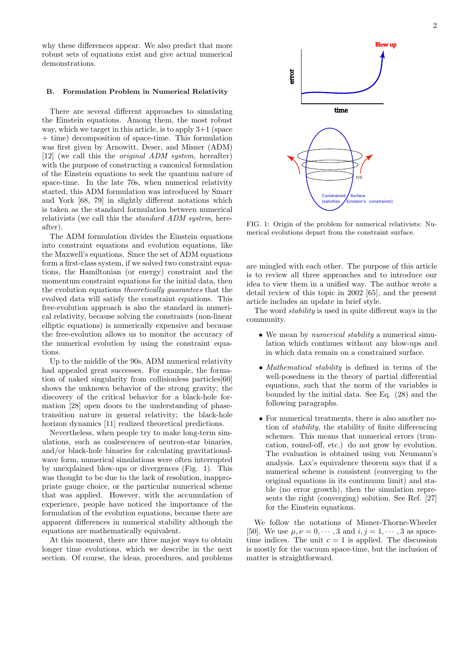why these differences appear. We also predict that more robust sets of equations exist and give actual numerical demonstrations.

# **B. Formulation Problem in Numerical Relativity**

There are several different approaches to simulating the Einstein equations. Among them, the most robust way, which we target in this article, is to apply 3+1 (space + time) decomposition of space-time. This formulation was first given by Arnowitt, Deser, and Misner (ADM) [12] (we call this the *original ADM system*, hereafter) with the purpose of constructing a canonical formulation of the Einstein equations to seek the quantum nature of space-time. In the late 70s, when numerical relativity started, this ADM formulation was introduced by Smarr and York [68, 79] in slightly different notations which is taken as the standard formulation between numerical relativists (we call this the *standard ADM system*, hereafter).

The ADM formulation divides the Einstein equations into constraint equations and evolution equations, like the Maxwell's equations. Since the set of ADM equations form a first-class system, if we solved two constraint equations, the Hamiltonian (or energy) constraint and the momentum constraint equations for the initial data, then the evolution equations *theoretically guarantees* that the evolved data will satisfy the constraint equations. This free-evolution approach is also the standard in numerical relativity, because solving the constraints (non-linear elliptic equations) is numerically expensive and because the free-evolution allows us to monitor the accuracy of the numerical evolution by using the constraint equations.

Up to the middle of the 90s, ADM numerical relativity had appealed great successes. For example, the formation of naked singularity from collisionless particles[60] shows the unknown behavior of the strong gravity; the discovery of the critical behavior for a black-hole formation [28] open doors to the understanding of phasetransition nature in general relativity; the black-hole horizon dynamics [11] realized theoretical predictions.

Nevertheless, when people try to make long-term simulations, such as coalescences of neutron-star binaries, and/or black-hole binaries for calculating gravitationalwave form, numerical simulations were often interrupted by unexplained blow-ups or divergences (Fig. 1). This was thought to be due to the lack of resolution, inappropriate gauge choice, or the particular numerical scheme that was applied. However, with the accumulation of experience, people have noticed the importance of the formulation of the evolution equations, because there are apparent differences in numerical stability although the equations are mathematically equivalent.

At this moment, there are three major ways to obtain longer time evolutions, which we describe in the next section. Of course, the ideas, procedures, and problems



FIG. 1: Origin of the problem for numerical relativists: Numerical evolutions depart from the constraint surface.

are mingled with each other. The purpose of this article is to review all three approaches and to introduce our idea to view them in a unified way. The author wrote a detail review of this topic in 2002 [65], and the present article includes an update in brief style.

The word *stability* is used in quite different ways in the community.

- *•* We mean by *numerical stability* a numerical simulation which continues without any blow-ups and in which data remain on a constrained surface.
- *• Mathematical stability* is defined in terms of the well-posedness in the theory of partial differential equations, such that the norm of the variables is bounded by the initial data. See Eq. (28) and the following paragraphs.
- *•* For numerical treatments, there is also another notion of *stability*, the stability of finite differencing schemes. This means that numerical errors (truncation, round-off, etc.) do not grow by evolution. The evaluation is obtained using von Neumann's analysis. Lax's equivalence theorem says that if a numerical scheme is consistent (converging to the original equations in its continuum limit) and stable (no error growth), then the simulation represents the right (converging) solution. See Ref. [27] for the Einstein equations.

We follow the notations of Misner-Thorne-Wheeler [50]. We use  $\mu, \nu = 0, \dots, 3$  and  $i, j = 1, \dots, 3$  as spacetime indices. The unit  $c = 1$  is applied. The discussion is mostly for the vacuum space-time, but the inclusion of matter is straightforward.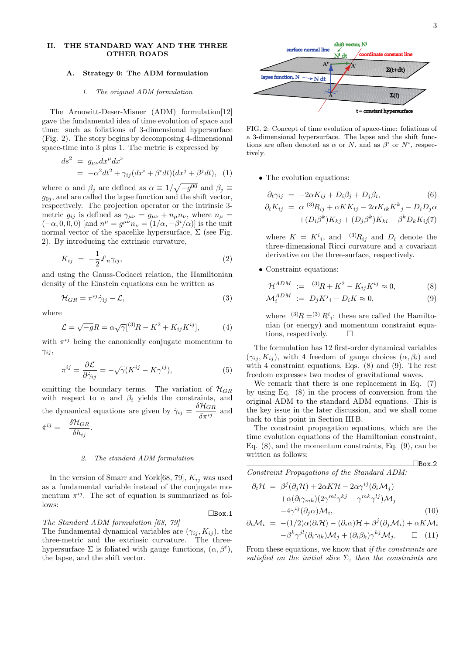## **II. THE STANDARD WAY AND THE THREE OTHER ROADS**

# **A. Strategy 0: The ADM formulation**

## *1. The original ADM formulation*

The Arnowitt-Deser-Misner (ADM) formulation[12] gave the fundamental idea of time evolution of space and time: such as foliations of 3-dimensional hypersurface (Fig. 2). The story begins by decomposing 4-dimensional space-time into 3 plus 1. The metric is expressed by

$$
ds2 = g\mu\nu dx\mu dx\nu
$$
  
=  $-\alpha2 dt2 + \gamma_{ij} (dxi + \betai dt) (dxj + \betaj dt),$  (1)

where  $\alpha$  and  $\beta_j$  are defined as  $\alpha \equiv 1/\sqrt{-g^{00}}$  and  $\beta_j \equiv$  $g_{0j}$ , and are called the lapse function and the shift vector, respectively. The projection operator or the intrinsic 3 metric  $g_{ij}$  is defined as  $\gamma_{\mu\nu} = g_{\mu\nu} + n_{\mu}n_{\nu}$ , where  $n_{\mu} =$  $(-\alpha, 0, 0, 0)$  [and  $n^{\mu} = g^{\mu\nu} n_{\nu} = (1/\alpha, -\beta^{i}/\alpha)$ ] is the unit normal vector of the spacelike hypersurface,  $\Sigma$  (see Fig. 2). By introducing the extrinsic curvature,

$$
K_{ij} = -\frac{1}{2} \pounds_n \gamma_{ij}, \qquad (2)
$$

and using the Gauss-Codacci relation, the Hamiltonian density of the Einstein equations can be written as

$$
\mathcal{H}_{GR} = \pi^{ij}\dot{\gamma}_{ij} - \mathcal{L},\tag{3}
$$

where

$$
\mathcal{L} = \sqrt{-g}R = \alpha \sqrt{\gamma}[^{(3)}R - K^2 + K_{ij}K^{ij}], \tag{4}
$$

with  $\pi^{ij}$  being the canonically conjugate momentum to *γij* ,

$$
\pi^{ij} = \frac{\partial \mathcal{L}}{\partial \dot{\gamma}_{ij}} = -\sqrt{\gamma} (K^{ij} - K\gamma^{ij}),\tag{5}
$$

omitting the boundary terms. The variation of  $\mathcal{H}_{GR}$ with respect to  $\alpha$  and  $\beta_i$  yields the constraints, and the dynamical equations are given by  $\dot{\gamma}_{ij} = \frac{\delta \mathcal{H}_{GR}}{\delta \pi^{ij}}$  and

$$
\dot{\pi}^{ij} = -\frac{\delta \mathcal{H}_{GR}}{\delta h_{ij}}.
$$

## *2. The standard ADM formulation*

In the version of Smarr and York $[68, 79]$ ,  $K_{ij}$  was used as a fundamental variable instead of the conjugate momentum  $\pi^{ij}$ . The set of equation is summarized as follows:

¤Box*.*1



three-metric and the extrinsic curvature. The threehypersurface  $\Sigma$  is foliated with gauge functions,  $(\alpha, \beta^i)$ , the lapse, and the shift vector.



FIG. 2: Concept of time evolution of space-time: foliations of a 3-dimensional hypersurface. The lapse and the shift functions are often denoted as  $\alpha$  or *N*, and as  $\beta^{i}$  or  $N^{i}$ , respectively.

• The evolution equations:

$$
\partial_t \gamma_{ij} = -2\alpha K_{ij} + D_i \beta_j + D_j \beta_i, \qquad (6)
$$
  

$$
\partial_t K_{ij} = \alpha^{(3)} R_{ij} + \alpha K K_{ij} - 2\alpha K_{ik} K^k{}_j - D_i D_j \alpha
$$
  

$$
+ (D_i \beta^k) K_{kj} + (D_j \beta^k) K_{ki} + \beta^k D_k K_{ij} (7)
$$

where  $K = K^i{}_i$ , and <sup>(3)</sup> $R_{ij}$  and  $D_i$  denote the three-dimensional Ricci curvature and a covariant derivative on the three-surface, respectively.

• Constraint equations:

$$
\mathcal{H}^{ADM} := {}^{(3)}R + K^2 - K_{ij}K^{ij} \approx 0, \tag{8}
$$

$$
\mathcal{M}_i^{ADM} := D_j K^j{}_i - D_i K \approx 0,\tag{9}
$$

where  $^{(3)}R = ^{(3)}R^i_i$ : these are called the Hamiltonian (or energy) and momentum constraint equations, respectively.  $\square$ 

The formulation has 12 first-order dynamical variables  $(\gamma_{ij}, K_{ij})$ , with 4 freedom of gauge choices  $(\alpha, \beta_i)$  and with 4 constraint equations, Eqs. (8) and (9). The rest freedom expresses two modes of gravitational waves.

We remark that there is one replacement in Eq. (7) by using Eq. (8) in the process of conversion from the original ADM to the standard ADM equations. This is the key issue in the later discussion, and we shall come back to this point in Section III B.

The constraint propagation equations, which are the time evolution equations of the Hamiltonian constraint, Eq. (8), and the momentum constraints, Eq. (9), can be written as follows:

*Constraint Propagations of the Standard ADM:*

$$
\partial_t \mathcal{H} = \beta^j (\partial_j \mathcal{H}) + 2\alpha K \mathcal{H} - 2\alpha \gamma^{ij} (\partial_i \mathcal{M}_j) \n+ \alpha (\partial_l \gamma_{mk}) (2\gamma^{ml} \gamma^{kj} - \gamma^{mk} \gamma^{lj}) \mathcal{M}_j \n- 4\gamma^{ij} (\partial_j \alpha) \mathcal{M}_i,
$$
\n(10)

¤Box*.*2

$$
\partial_t \mathcal{M}_i = -(1/2)\alpha(\partial_i \mathcal{H}) - (\partial_i \alpha)\mathcal{H} + \beta^j(\partial_j \mathcal{M}_i) + \alpha K \mathcal{M}_i
$$
  

$$
-\beta^k \gamma^{jl}(\partial_i \gamma_{lk})\mathcal{M}_j + (\partial_i \beta_k) \gamma^{kj} \mathcal{M}_j. \qquad \Box \quad (11)
$$

From these equations, we know that *if the constraints are satisfied on the initial slice* Σ*, then the constraints are*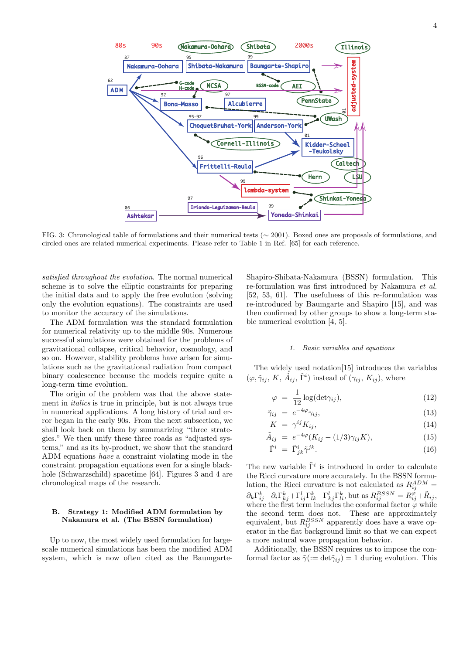

FIG. 3: Chronological table of formulations and their numerical tests (*∼* 2001). Boxed ones are proposals of formulations, and circled ones are related numerical experiments. Please refer to Table 1 in Ref. [65] for each reference.

*satisfied throughout the evolution*. The normal numerical scheme is to solve the elliptic constraints for preparing the initial data and to apply the free evolution (solving only the evolution equations). The constraints are used to monitor the accuracy of the simulations.

The ADM formulation was the standard formulation for numerical relativity up to the middle 90s. Numerous successful simulations were obtained for the problems of gravitational collapse, critical behavior, cosmology, and so on. However, stability problems have arisen for simulations such as the gravitational radiation from compact binary coalescence because the models require quite a long-term time evolution.

The origin of the problem was that the above statement in *italics* is true in principle, but is not always true in numerical applications. A long history of trial and error began in the early 90s. From the next subsection, we shall look back on them by summarizing "three strategies." We then unify these three roads as "adjusted systems," and as its by-product, we show that the standard ADM equations *have* a constraint violating mode in the constraint propagation equations even for a single blackhole (Schwarzschild) spacetime [64]. Figures 3 and 4 are chronological maps of the research.

## **B. Strategy 1: Modified ADM formulation by Nakamura et al. (The BSSN formulation)**

Up to now, the most widely used formulation for largescale numerical simulations has been the modified ADM system, which is now often cited as the BaumgarteShapiro-Shibata-Nakamura (BSSN) formulation. This re-formulation was first introduced by Nakamura *et al.* [52, 53, 61]. The usefulness of this re-formulation was re-introduced by Baumgarte and Shapiro [15], and was then confirmed by other groups to show a long-term stable numerical evolution [4, 5].

### *1. Basic variables and equations*

The widely used notation[15] introduces the variables  $(\varphi, \tilde{\gamma}_{ij}, K, \tilde{A}_{ij}, \tilde{\Gamma}^i)$  instead of  $(\gamma_{ij}, K_{ij})$ , where

$$
\varphi = \frac{1}{12} \log(\det \gamma_{ij}), \qquad (12)
$$

$$
\tilde{\gamma}_{ij} = e^{-4\varphi} \gamma_{ij}, \tag{13}
$$

$$
K = \gamma^{ij} K_{ij}, \tag{14}
$$

$$
\tilde{A}_{ij} = e^{-4\varphi} (K_{ij} - (1/3)\gamma_{ij} K), \qquad (15)
$$

$$
\tilde{\Gamma}^i = \tilde{\Gamma}^i_{jk} \tilde{\gamma}^{jk}.
$$
\n(16)

The new variable  $\tilde{\Gamma}^i$  is introduced in order to calculate the Ricci curvature more accurately. In the BSSN formulation, the Ricci curvature is not calculated as  $R_{ij}^{ADM}$  =  $\partial_k \Gamma_{ij}^k - \partial_i \Gamma_{kj}^k + \Gamma_{ij}^l \Gamma_{lk}^k - \Gamma_{kj}^l \Gamma_{li}^k$ , but as  $R_{ij}^{BSSN} = R_{ij}^{\varphi} + \tilde{R}_{ij}$ , where the first term includes the conformal factor  $\varphi$  while the second term does not. These are approximately equivalent, but  $R_{ij}^{BSSN}$  apparently does have a wave operator in the flat background limit so that we can expect a more natural wave propagation behavior.

Additionally, the BSSN requires us to impose the conformal factor as  $\tilde{\gamma}$  ( $:=$  det $\tilde{\gamma}_{ij}$ ) = 1 during evolution. This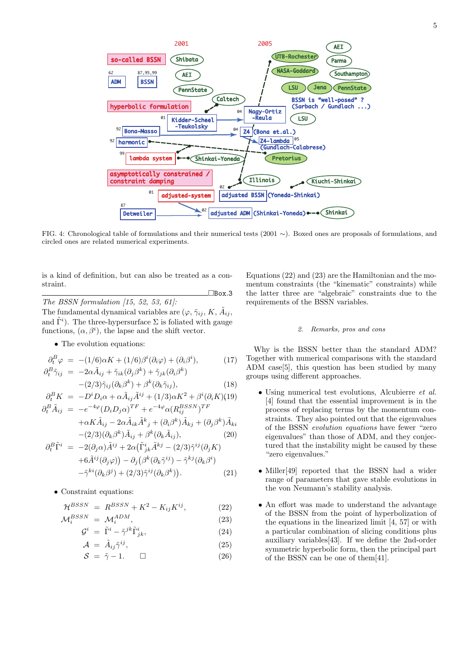

FIG. 4: Chronological table of formulations and their numerical tests (2001 *∼*). Boxed ones are proposals of formulations, and circled ones are related numerical experiments.

is a kind of definition, but can also be treated as a constraint.

¤Box*.*3 *The BSSN formulation [15, 52, 53, 61]:* The fundamental dynamical variables are  $(\varphi, \tilde{\gamma}_{ij}, K, \tilde{A}_{ij},$ and  $\tilde{\Gamma}^i$ ). The three-hypersurface  $\Sigma$  is foliated with gauge functions,  $(\alpha, \beta^i)$ , the lapse and the shift vector.

• The evolution equations:

$$
\partial_t^B \varphi = -(1/6)\alpha K + (1/6)\beta^i(\partial_i \varphi) + (\partial_i \beta^i), \tag{17}
$$

$$
\partial_t^B \tilde{\gamma}_{ij} = -2\alpha \tilde{A}_{ij} + \tilde{\gamma}_{ik} (\partial_j \beta^k) + \tilde{\gamma}_{jk} (\partial_i \beta^k) - (2/3) \tilde{\gamma}_{ij} (\partial_k \beta^k) + \beta^k (\partial_k \tilde{\gamma}_{ij}),
$$
(18)

$$
\partial_t^B K = -D^i D_i \alpha + \alpha \tilde{A}_{ij} \tilde{A}^{ij} + (1/3) \alpha K^2 + \beta^i (\partial_i K)(19)
$$
  
\n
$$
\partial_t^B \tilde{A}_{ij} = -e^{-4\varphi} (D_i D_j \alpha)^{TF} + e^{-4\varphi} \alpha (R_{ij}^{BSSN})^{TF}
$$
  
\n
$$
+ \alpha K \tilde{A}_{ij} - 2\alpha \tilde{A}_{ij} \tilde{A}^k + (\partial_i \beta^k) \tilde{A}_{ij} + (\partial_i \beta^k) \tilde{A}_{ij}.
$$

$$
+\alpha K \tilde{A}_{ij} - 2\alpha \tilde{A}_{ik} \tilde{A}^k{}_j + (\partial_i \beta^k) \tilde{A}_{kj} + (\partial_j \beta^k) \tilde{A}_{ki} -(2/3)(\partial_k \beta^k) \tilde{A}_{ij} + \beta^k (\partial_k \tilde{A}_{ij}),
$$
(20)

$$
\partial_t^B \tilde{\Gamma}^i = -2(\partial_j \alpha) \tilde{A}^{ij} + 2\alpha (\tilde{\Gamma}^i_{jk} \tilde{A}^{kj} - (2/3) \tilde{\gamma}^{ij} (\partial_j K) \n+6 \tilde{A}^{ij} (\partial_j \varphi)) - \partial_j (\beta^k (\partial_k \tilde{\gamma}^{ij}) - \tilde{\gamma}^{kj} (\partial_k \beta^i) \n- \tilde{\gamma}^{ki} (\partial_k \beta^j) + (2/3) \tilde{\gamma}^{ij} (\partial_k \beta^k)).
$$
\n(21)

*•* Constraint equations:

$$
\mathcal{H}^{BSSN} = R^{BSSN} + K^2 - K_{ij}K^{ij},\tag{22}
$$

$$
\mathcal{M}_i^{BSSN} = \mathcal{M}_i^{ADM},\tag{23}
$$

$$
\mathcal{G}^i = \tilde{\Gamma}^i - \tilde{\gamma}^{jk} \tilde{\Gamma}^i_{jk},\tag{24}
$$

$$
\mathcal{A} = \tilde{A}_{ij}\tilde{\gamma}^{ij},\tag{25}
$$

$$
S = \tilde{\gamma} - 1. \qquad \Box \tag{26}
$$

Equations (22) and (23) are the Hamiltonian and the momentum constraints (the "kinematic" constraints) while the latter three are "algebraic" constraints due to the requirements of the BSSN variables.

# *2. Remarks, pros and cons*

Why is the BSSN better than the standard ADM? Together with numerical comparisons with the standard ADM case[5], this question has been studied by many groups using different approaches.

- *•* Using numerical test evolutions, Alcubierre *et al.* [4] found that the essential improvement is in the process of replacing terms by the momentum constraints. They also pointed out that the eigenvalues of the BSSN *evolution equations* have fewer "zero eigenvalues" than those of ADM, and they conjectured that the instability might be caused by these "zero eigenvalues."
- Miller<sup>[49]</sup> reported that the BSSN had a wider range of parameters that gave stable evolutions in the von Neumann's stability analysis.
- *•* An effort was made to understand the advantage of the BSSN from the point of hyperbolization of the equations in the linearized limit [4, 57] or with a particular combination of slicing conditions plus auxiliary variables[43]. If we define the 2nd-order symmetric hyperbolic form, then the principal part of the BSSN can be one of them[41].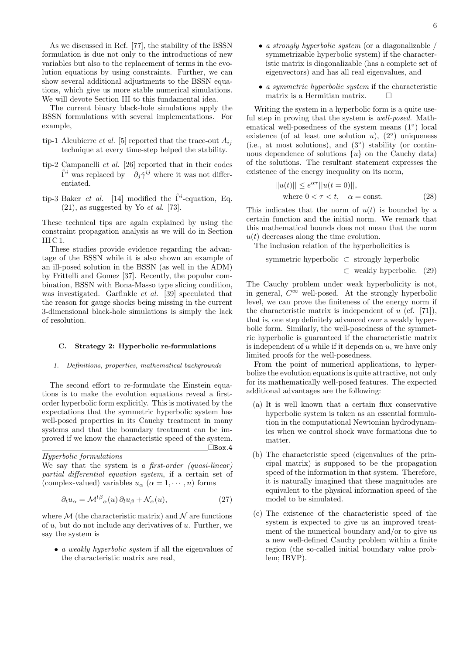As we discussed in Ref. [77], the stability of the BSSN formulation is due not only to the introductions of new variables but also to the replacement of terms in the evolution equations by using constraints. Further, we can show several additional adjustments to the BSSN equations, which give us more stable numerical simulations. We will devote Section III to this fundamental idea.

The current binary black-hole simulations apply the BSSN formulations with several implementations. For example,

- tip-1 Alcubierre *et al.* [5] reported that the trace-out  $A_{ij}$ technique at every time-step helped the stability.
- tip-2 Campanelli *et al.* [26] reported that in their codes  $\tilde{\Gamma}^i$  was replaced by  $-\partial_j \tilde{\gamma}^{ij}$  where it was not differentiated.
- tip-3 Baker *et al.* [14] modified the  $\tilde{\Gamma}^i$ -equation, Eq. (21), as suggested by Yo *et al.* [73].

These technical tips are again explained by using the constraint propagation analysis as we will do in Section  $III<sub>C</sub>1.$ 

These studies provide evidence regarding the advantage of the BSSN while it is also shown an example of an ill-posed solution in the BSSN (as well in the ADM) by Frittelli and Gomez [37]. Recently, the popular combination, BSSN with Bona-Masso type slicing condition, was investigated. Garfinkle *et al.* [39] speculated that the reason for gauge shocks being missing in the current 3-dimensional black-hole simulations is simply the lack of resolution.

### **C. Strategy 2: Hyperbolic re-formulations**

### *1. Definitions, properties, mathematical backgrounds*

The second effort to re-formulate the Einstein equations is to make the evolution equations reveal a firstorder hyperbolic form explicitly. This is motivated by the expectations that the symmetric hyperbolic system has well-posed properties in its Cauchy treatment in many systems and that the boundary treatment can be improved if we know the characteristic speed of the system.  $\Box$ Box<sub>.</sub>4

*Hyperbolic formulations* We say that the system is *a first-order (quasi-linear)*

*partial differential equation system*, if a certain set of (complex-valued) variables  $u_{\alpha}$  ( $\alpha = 1, \dots, n$ ) forms

$$
\partial_t u_\alpha = \mathcal{M}^{l\beta}{}_\alpha(u) \partial_l u_\beta + \mathcal{N}_\alpha(u),\tag{27}
$$

where  $M$  (the characteristic matrix) and  $N$  are functions of *u*, but do not include any derivatives of *u*. Further, we say the system is

*• a weakly hyperbolic system* if all the eigenvalues of the characteristic matrix are real,

- *• a strongly hyperbolic system* (or a diagonalizable / symmetrizable hyperbolic system) if the characteristic matrix is diagonalizable (has a complete set of eigenvectors) and has all real eigenvalues, and
- *• a symmetric hyperbolic system* if the characteristic matrix is a Hermitian matrix.  $\Box$

Writing the system in a hyperbolic form is a quite useful step in proving that the system is *well-posed*. Mathematical well-posedness of the system means (1*◦* ) local existence (of at least one solution *u*),  $(2^{\circ})$  uniqueness (i.e., at most solutions), and (3*◦* ) stability (or continuous dependence of solutions  $\{u\}$  on the Cauchy data) of the solutions. The resultant statement expresses the existence of the energy inequality on its norm,

$$
||u(t)|| \le e^{\alpha \tau} ||u(t=0)||,
$$
  
where  $0 < \tau < t$ ,  $\alpha = \text{const.}$  (28)

This indicates that the norm of  $u(t)$  is bounded by a certain function and the initial norm. We remark that this mathematical bounds does not mean that the norm *u*(*t*) decreases along the time evolution.

The inclusion relation of the hyperbolicities is

\n symmetric hyperbolic 
$$
\subset
$$
 strongly hyperbolic  $\subset$  weakly hyperbolic. (29)\n

The Cauchy problem under weak hyperbolicity is not, in general,  $C^{\infty}$  well-posed. At the strongly hyperbolic level, we can prove the finiteness of the energy norm if the characteristic matrix is independent of *u* (cf. [71]), that is, one step definitely advanced over a weakly hyperbolic form. Similarly, the well-posedness of the symmetric hyperbolic is guaranteed if the characteristic matrix is independent of *u* while if it depends on *u*, we have only limited proofs for the well-posedness.

From the point of numerical applications, to hyperbolize the evolution equations is quite attractive, not only for its mathematically well-posed features. The expected additional advantages are the following:

- (a) It is well known that a certain flux conservative hyperbolic system is taken as an essential formulation in the computational Newtonian hydrodynamics when we control shock wave formations due to matter.
- (b) The characteristic speed (eigenvalues of the principal matrix) is supposed to be the propagation speed of the information in that system. Therefore, it is naturally imagined that these magnitudes are equivalent to the physical information speed of the model to be simulated.
- (c) The existence of the characteristic speed of the system is expected to give us an improved treatment of the numerical boundary and/or to give us a new well-defined Cauchy problem within a finite region (the so-called initial boundary value problem; IBVP).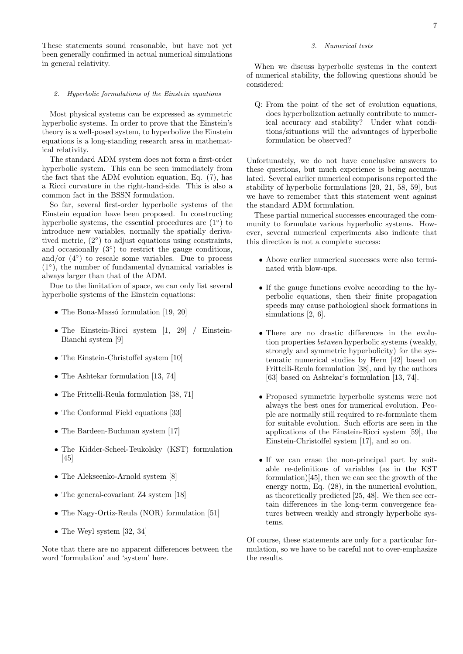These statements sound reasonable, but have not yet been generally confirmed in actual numerical simulations in general relativity.

### *2. Hyperbolic formulations of the Einstein equations*

Most physical systems can be expressed as symmetric hyperbolic systems. In order to prove that the Einstein's theory is a well-posed system, to hyperbolize the Einstein equations is a long-standing research area in mathematical relativity.

The standard ADM system does not form a first-order hyperbolic system. This can be seen immediately from the fact that the ADM evolution equation, Eq. (7), has a Ricci curvature in the right-hand-side. This is also a common fact in the BSSN formulation.

So far, several first-order hyperbolic systems of the Einstein equation have been proposed. In constructing hyperbolic systems, the essential procedures are (1*◦* ) to introduce new variables, normally the spatially derivatived metric, (2*◦* ) to adjust equations using constraints, and occasionally (3*◦* ) to restrict the gauge conditions, and/or (4*◦* ) to rescale some variables. Due to process (1*◦* ), the number of fundamental dynamical variables is always larger than that of the ADM.

Due to the limitation of space, we can only list several hyperbolic systems of the Einstein equations:

- The Bona-Massó formulation [19, 20]
- The Einstein-Ricci system [1, 29] / Einstein-Bianchi system [9]
- The Einstein-Christoffel system [10]
- The Ashtekar formulation [13, 74]
- *•* The Frittelli-Reula formulation [38, 71]
- The Conformal Field equations [33]
- The Bardeen-Buchman system [17]
- *•* The Kidder-Scheel-Teukolsky (KST) formulation [45]
- The Alekseenko-Arnold system [8]
- The general-covariant Z4 system [18]
- *•* The Nagy-Ortiz-Reula (NOR) formulation [51]
- The Weyl system [32, 34]

Note that there are no apparent differences between the word 'formulation' and 'system' here.

# *3. Numerical tests*

When we discuss hyperbolic systems in the context of numerical stability, the following questions should be considered:

Q: From the point of the set of evolution equations, does hyperbolization actually contribute to numerical accuracy and stability? Under what conditions/situations will the advantages of hyperbolic formulation be observed?

Unfortunately, we do not have conclusive answers to these questions, but much experience is being accumulated. Several earlier numerical comparisons reported the stability of hyperbolic formulations [20, 21, 58, 59], but we have to remember that this statement went against the standard ADM formulation.

These partial numerical successes encouraged the community to formulate various hyperbolic systems. However, several numerical experiments also indicate that this direction is not a complete success:

- *•* Above earlier numerical successes were also terminated with blow-ups.
- If the gauge functions evolve according to the hyperbolic equations, then their finite propagation speeds may cause pathological shock formations in simulations [2, 6].
- There are no drastic differences in the evolution properties *between* hyperbolic systems (weakly, strongly and symmetric hyperbolicity) for the systematic numerical studies by Hern [42] based on Frittelli-Reula formulation [38], and by the authors [63] based on Ashtekar's formulation [13, 74].
- *•* Proposed symmetric hyperbolic systems were not always the best ones for numerical evolution. People are normally still required to re-formulate them for suitable evolution. Such efforts are seen in the applications of the Einstein-Ricci system [59], the Einstein-Christoffel system [17], and so on.
- If we can erase the non-principal part by suitable re-definitions of variables (as in the KST formulation)[45], then we can see the growth of the energy norm, Eq. (28), in the numerical evolution, as theoretically predicted [25, 48]. We then see certain differences in the long-term convergence features between weakly and strongly hyperbolic systems.

Of course, these statements are only for a particular formulation, so we have to be careful not to over-emphasize the results.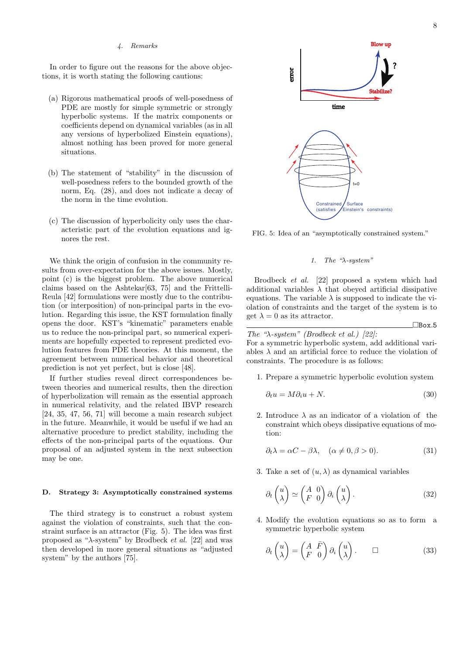## *4. Remarks*

In order to figure out the reasons for the above objections, it is worth stating the following cautions:

- (a) Rigorous mathematical proofs of well-posedness of PDE are mostly for simple symmetric or strongly hyperbolic systems. If the matrix components or coefficients depend on dynamical variables (as in all any versions of hyperbolized Einstein equations), almost nothing has been proved for more general situations.
- (b) The statement of "stability" in the discussion of well-posedness refers to the bounded growth of the norm, Eq. (28), and does not indicate a decay of the norm in the time evolution.
- (c) The discussion of hyperbolicity only uses the characteristic part of the evolution equations and ignores the rest.

We think the origin of confusion in the community results from over-expectation for the above issues. Mostly, point (c) is the biggest problem. The above numerical claims based on the Ashtekar[63, 75] and the Frittelli-Reula [42] formulations were mostly due to the contribution (or interposition) of non-principal parts in the evolution. Regarding this issue, the KST formulation finally opens the door. KST's "kinematic" parameters enable us to reduce the non-principal part, so numerical experiments are hopefully expected to represent predicted evolution features from PDE theories. At this moment, the agreement between numerical behavior and theoretical prediction is not yet perfect, but is close [48].

If further studies reveal direct correspondences between theories and numerical results, then the direction of hyperbolization will remain as the essential approach in numerical relativity, and the related IBVP research [24, 35, 47, 56, 71] will become a main research subject in the future. Meanwhile, it would be useful if we had an alternative procedure to predict stability, including the effects of the non-principal parts of the equations. Our proposal of an adjusted system in the next subsection may be one.

### **D. Strategy 3: Asymptotically constrained systems**

The third strategy is to construct a robust system against the violation of constraints, such that the constraint surface is an attractor (Fig. 5). The idea was first proposed as "*λ*-system" by Brodbeck *et al.* [22] and was then developed in more general situations as "adjusted system" by the authors [75].



FIG. 5: Idea of an "asymptotically constrained system."

# *1. The "λ-system"*

Brodbeck *et al.* [22] proposed a system which had additional variables  $\lambda$  that obeyed artificial dissipative equations. The variable  $\lambda$  is supposed to indicate the violation of constraints and the target of the system is to get  $\lambda = 0$  as its attractor.

¤Box*.*5

*The "λ-system" (Brodbeck et al.) [22]:*

For a symmetric hyperbolic system, add additional variables  $\lambda$  and an artificial force to reduce the violation of constraints. The procedure is as follows:

1. Prepare a symmetric hyperbolic evolution system

$$
\partial_t u = M \partial_i u + N. \tag{30}
$$

2. Introduce  $\lambda$  as an indicator of a violation of the constraint which obeys dissipative equations of motion:

$$
\partial_t \lambda = \alpha C - \beta \lambda, \quad (\alpha \neq 0, \beta > 0). \tag{31}
$$

3. Take a set of  $(u, \lambda)$  as dynamical variables

$$
\partial_t \begin{pmatrix} u \\ \lambda \end{pmatrix} \simeq \begin{pmatrix} A & 0 \\ F & 0 \end{pmatrix} \partial_i \begin{pmatrix} u \\ \lambda \end{pmatrix} . \tag{32}
$$

4. Modify the evolution equations so as to form a symmetric hyperbolic system

$$
\partial_t \begin{pmatrix} u \\ \lambda \end{pmatrix} = \begin{pmatrix} A & \bar{F} \\ F & 0 \end{pmatrix} \partial_i \begin{pmatrix} u \\ \lambda \end{pmatrix} . \qquad \Box \tag{33}
$$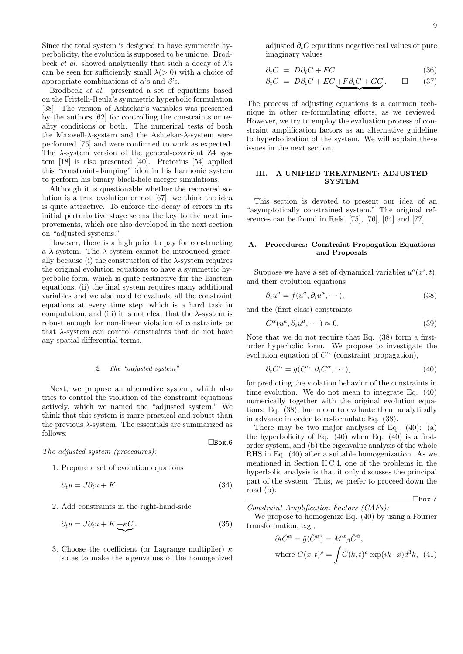Since the total system is designed to have symmetric hyperbolicity, the evolution is supposed to be unique. Brodbeck *et al.* showed analytically that such a decay of  $\lambda$ 's can be seen for sufficiently small  $\lambda$ ( $>$ 0) with a choice of appropriate combinations of  $\alpha$ 's and  $\beta$ 's.

Brodbeck *et al.* presented a set of equations based on the Frittelli-Reula's symmetric hyperbolic formulation [38]. The version of Ashtekar's variables was presented by the authors [62] for controlling the constraints or reality conditions or both. The numerical tests of both the Maxwell-*λ*-system and the Ashtekar-*λ*-system were performed [75] and were confirmed to work as expected. The *λ*-system version of the general-covariant Z4 system [18] is also presented [40]. Pretorius [54] applied this "constraint-damping" idea in his harmonic system to perform his binary black-hole merger simulations.

Although it is questionable whether the recovered solution is a true evolution or not [67], we think the idea is quite attractive. To enforce the decay of errors in its initial perturbative stage seems the key to the next improvements, which are also developed in the next section on "adjusted systems."

However, there is a high price to pay for constructing a *λ*-system. The *λ*-system cannot be introduced generally because (i) the construction of the  $\lambda$ -system requires the original evolution equations to have a symmetric hyperbolic form, which is quite restrictive for the Einstein equations, (ii) the final system requires many additional variables and we also need to evaluate all the constraint equations at every time step, which is a hard task in computation, and (iii) it is not clear that the  $\lambda$ -system is robust enough for non-linear violation of constraints or that *λ*-system can control constraints that do not have any spatial differential terms.

## *2. The "adjusted system"*

Next, we propose an alternative system, which also tries to control the violation of the constraint equations actively, which we named the "adjusted system." We think that this system is more practical and robust than the previous  $\lambda$ -system. The essentials are summarized as follows:

*The adjusted system (procedures):*

1. Prepare a set of evolution equations

$$
\partial_t u = J \partial_i u + K. \tag{34}
$$

¤Box*.*6

2. Add constraints in the right-hand-side

$$
\partial_t u = J \partial_i u + K + \kappa C. \tag{35}
$$

3. Choose the coefficient (or Lagrange multiplier) *κ* so as to make the eigenvalues of the homogenized adjusted *∂tC* equations negative real values or pure imaginary values

$$
\partial_t C = D \partial_i C + E C \tag{36}
$$

$$
\partial_t C = D \partial_i C + EC \underbrace{+ F \partial_i C + GC}_{\text{}}.\qquad \Box \qquad (37)
$$

The process of adjusting equations is a common technique in other re-formulating efforts, as we reviewed. However, we try to employ the evaluation process of constraint amplification factors as an alternative guideline to hyperbolization of the system. We will explain these issues in the next section.

# **III. A UNIFIED TREATMENT: ADJUSTED SYSTEM**

This section is devoted to present our idea of an "asymptotically constrained system." The original references can be found in Refs. [75], [76], [64] and [77].

# **A. Procedures: Constraint Propagation Equations and Proposals**

Suppose we have a set of dynamical variables  $u^a(x^i, t)$ , and their evolution equations

$$
\partial_t u^a = f(u^a, \partial_i u^a, \cdots), \tag{38}
$$

and the (first class) constraints

$$
C^{\alpha}(u^a, \partial_i u^a, \cdots) \approx 0. \tag{39}
$$

Note that we do not require that Eq. (38) form a firstorder hyperbolic form. We propose to investigate the evolution equation of  $C^{\alpha}$  (constraint propagation),

$$
\partial_t C^{\alpha} = g(C^{\alpha}, \partial_i C^{\alpha}, \cdots), \tag{40}
$$

for predicting the violation behavior of the constraints in time evolution. We do not mean to integrate Eq. (40) numerically together with the original evolution equations, Eq. (38), but mean to evaluate them analytically in advance in order to re-formulate Eq. (38).

There may be two major analyses of Eq. (40): (a) the hyperbolicity of Eq.  $(40)$  when Eq.  $(40)$  is a firstorder system, and (b) the eigenvalue analysis of the whole RHS in Eq. (40) after a suitable homogenization. As we mentioned in Section II C 4, one of the problems in the hyperbolic analysis is that it only discusses the principal part of the system. Thus, we prefer to proceed down the road (b).

$$
\Box
$$
Box.7

*Constraint Amplification Factors (CAFs):*

We propose to homogenize Eq. (40) by using a Fourier transformation, e.g.,

$$
\partial_t \hat{C}^{\alpha} = \hat{g}(\hat{C}^{\alpha}) = M^{\alpha}{}_{\beta} \hat{C}^{\beta},
$$
  
where  $C(x, t)^{\rho} = \int \hat{C}(k, t)^{\rho} \exp(ik \cdot x) d^3k$ , (41)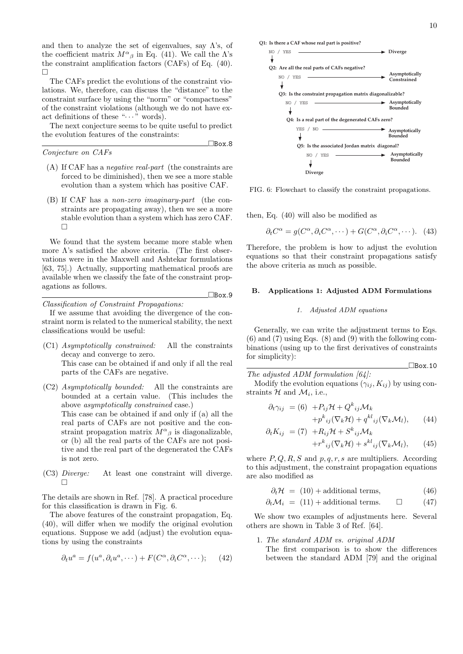and then to analyze the set of eigenvalues, say  $\Lambda$ 's, of the coefficient matrix  $M^{\alpha}{}_{\beta}$  in Eq. (41). We call the  $\Lambda$ 's the constraint amplification factors (CAFs) of Eq. (40). ¤

The CAFs predict the evolutions of the constraint violations. We, therefore, can discuss the "distance" to the constraint surface by using the "norm" or "compactness" of the constraint violations (although we do not have exact definitions of these " $\cdots$ " words).

The next conjecture seems to be quite useful to predict the evolution features of the constraints:

¤Box*.*8

¤Box*.*9

*Conjecture on CAFs*

- (A) If CAF has a *negative real-part* (the constraints are forced to be diminished), then we see a more stable evolution than a system which has positive CAF.
- (B) If CAF has a *non-zero imaginary-part* (the constraints are propagating away), then we see a more stable evolution than a system which has zero CAF.  $\Box$

We found that the system became more stable when more  $\Lambda$ 's satisfied the above criteria. (The first observations were in the Maxwell and Ashtekar formulations [63, 75].) Actually, supporting mathematical proofs are available when we classify the fate of the constraint propagations as follows.

*Classification of Constraint Propagations:*

If we assume that avoiding the divergence of the constraint norm is related to the numerical stability, the next classifications would be useful:

- (C1) *Asymptotically constrained:* All the constraints decay and converge to zero. This case can be obtained if and only if all the real parts of the CAFs are negative.
- (C2) *Asymptotically bounded:* All the constraints are bounded at a certain value. (This includes the above *asymptotically constrained* case.) This case can be obtained if and only if (a) all the real parts of CAFs are not positive and the constraint propagation matrix  $M^{\alpha}{}_{\beta}$  is diagonalizable, or (b) all the real parts of the CAFs are not positive and the real part of the degenerated the CAFs is not zero.
- (C3) *Diverge:* At least one constraint will diverge.  $\Box$

The details are shown in Ref. [78]. A practical procedure for this classification is drawn in Fig. 6.

The above features of the constraint propagation, Eq. (40), will differ when we modify the original evolution equations. Suppose we add (adjust) the evolution equations by using the constraints

$$
\partial_t u^a = f(u^a, \partial_i u^a, \cdots) + F(C^{\alpha}, \partial_i C^{\alpha}, \cdots); \qquad (42)
$$

**Q1: Is there a CAF whose real part is positive?**



FIG. 6: Flowchart to classify the constraint propagations.

then, Eq. (40) will also be modified as

$$
\partial_t C^{\alpha} = g(C^{\alpha}, \partial_i C^{\alpha}, \cdots) + G(C^{\alpha}, \partial_i C^{\alpha}, \cdots). \tag{43}
$$

Therefore, the problem is how to adjust the evolution equations so that their constraint propagations satisfy the above criteria as much as possible.

## **B. Applications 1: Adjusted ADM Formulations**

### *1. Adjusted ADM equations*

Generally, we can write the adjustment terms to Eqs.  $(6)$  and  $(7)$  using Eqs.  $(8)$  and  $(9)$  with the following combinations (using up to the first derivatives of constraints for simplicity):

*The adjusted ADM formulation [64]:*

Modify the evolution equations  $(\gamma_{ij}, K_{ij})$  by using constraints  $\mathcal{H}$  and  $\mathcal{M}_i$ , i.e.,

$$
\partial_t \gamma_{ij} = (6) + P_{ij} \mathcal{H} + Q^k_{ij} \mathcal{M}_k + p^k_{ij} (\nabla_k \mathcal{H}) + q^{kl}_{ij} (\nabla_k \mathcal{M}_l), \qquad (44)
$$

¤Box*.*10

$$
\partial_t K_{ij} = (7) + R_{ij} \mathcal{H} + S^k_{ij} \mathcal{M}_k + r^k_{ij} (\nabla_k \mathcal{H}) + s^{kl}_{ij} (\nabla_k \mathcal{M}_l), \qquad (45)
$$

where *P, Q, R, S* and *p, q, r, s* are multipliers. According to this adjustment, the constraint propagation equations are also modified as

 $\partial_t \mathcal{H} = (10) + \text{additional terms},$  (46)

 $\partial_t \mathcal{M}_i = (11) +$  additional terms.  $\Box$  (47)

We show two examples of adjustments here. Several others are shown in Table 3 of Ref. [64].

## 1. *The standard ADM vs. original ADM*

The first comparison is to show the differences between the standard ADM [79] and the original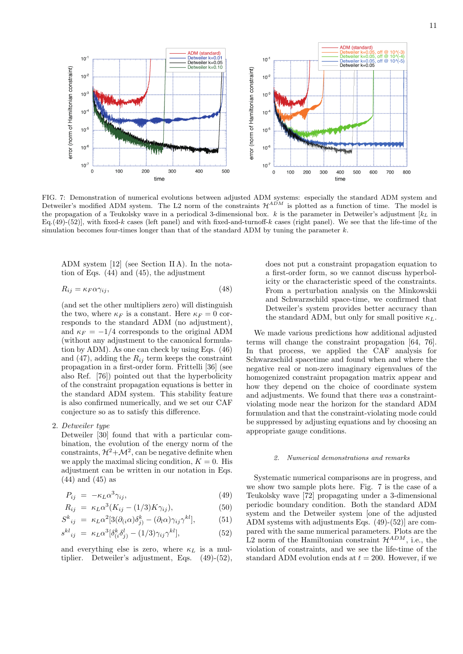

FIG. 7: Demonstration of numerical evolutions between adjusted ADM systems: especially the standard ADM system and Detweiler's modified ADM system. The L2 norm of the constraints  $\mathcal{H}^{ADM}$  is plotted as a function of time. The model is the propagation of a Teukolsky wave in a periodical 3-dimensional box.  $k$  is the parameter in Detweiler's adjustment  $[k_L]$  in Eq.(49)-(52)], with fixed-*k* cases (left panel) and with fixed-and-turnoff-*k* cases (right panel). We see that the life-time of the simulation becomes four-times longer than that of the standard ADM by tuning the parameter *k*.

ADM system [12] (see Section II A). In the notation of Eqs. (44) and (45), the adjustment

$$
R_{ij} = \kappa_F \alpha \gamma_{ij},\tag{48}
$$

(and set the other multipliers zero) will distinguish the two, where  $\kappa_F$  is a constant. Here  $\kappa_F = 0$  corresponds to the standard ADM (no adjustment), and  $\kappa_F = -1/4$  corresponds to the original ADM (without any adjustment to the canonical formulation by ADM). As one can check by using Eqs. (46) and  $(47)$ , adding the  $R_{ij}$  term keeps the constraint propagation in a first-order form. Frittelli [36] (see also Ref. [76]) pointed out that the hyperbolicity of the constraint propagation equations is better in the standard ADM system. This stability feature is also confirmed numerically, and we set our CAF conjecture so as to satisfy this difference.

2. *Detweiler type*

Detweiler [30] found that with a particular combination, the evolution of the energy norm of the constraints,  $\mathcal{H}^2 + \mathcal{M}^2$ , can be negative definite when we apply the maximal slicing condition,  $K = 0$ . His adjustment can be written in our notation in Eqs. (44) and (45) as

$$
P_{ij} = -\kappa_L \alpha^3 \gamma_{ij}, \qquad (49)
$$

$$
R_{ij} = \kappa_L \alpha^3 (K_{ij} - (1/3)K\gamma_{ij}), \qquad (50)
$$

$$
S^{k}_{ij} = \kappa_L \alpha^2 [3(\partial_{(i}\alpha)\delta^k_{j)} - (\partial_l \alpha)\gamma_{ij}\gamma^{kl}], \qquad (51)
$$

$$
s^{kl}_{ij} = \kappa_L \alpha^3 [\delta^k_{(i} \delta^l_{j)} - (1/3) \gamma_{ij} \gamma^{kl}], \tag{52}
$$

and everything else is zero, where  $\kappa_L$  is a multiplier. Detweiler's adjustment, Eqs. (49)-(52), does not put a constraint propagation equation to a first-order form, so we cannot discuss hyperbolicity or the characteristic speed of the constraints. From a perturbation analysis on the Minkowskii and Schwarzschild space-time, we confirmed that Detweiler's system provides better accuracy than the standard ADM, but only for small positive  $\kappa_L$ .

We made various predictions how additional adjusted terms will change the constraint propagation [64, 76]. In that process, we applied the CAF analysis for Schwarzschild spacetime and found when and where the negative real or non-zero imaginary eigenvalues of the homogenized constraint propagation matrix appear and how they depend on the choice of coordinate system and adjustments. We found that there *was* a constraintviolating mode near the horizon for the standard ADM formulation and that the constraint-violating mode could be suppressed by adjusting equations and by choosing an appropriate gauge conditions.

# *2. Numerical demonstrations and remarks*

Systematic numerical comparisons are in progress, and we show two sample plots here. Fig. 7 is the case of a Teukolsky wave [72] propagating under a 3-dimensional periodic boundary condition. Both the standard ADM system and the Detweiler system [one of the adjusted ADM systems with adjustments Eqs. (49)-(52)] are compared with the same numerical parameters. Plots are the L2 norm of the Hamiltonian constraint  $\mathcal{H}^{ADM}$ , i.e., the violation of constraints, and we see the life-time of the standard ADM evolution ends at  $t = 200$ . However, if we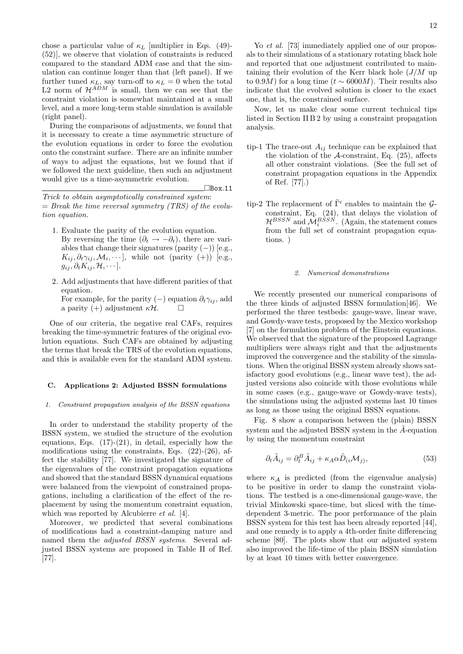chose a particular value of *κ<sup>L</sup>* [multiplier in Eqs. (49)- (52)], we observe that violation of constraints is reduced compared to the standard ADM case and that the simulation can continue longer than that (left panel). If we further tuned  $\kappa_L$ , say turn-off to  $\kappa_L = 0$  when the total L2 norm of  $\mathcal{H}^{ADM}$  is small, then we can see that the constraint violation is somewhat maintained at a small level, and a more long-term stable simulation is available (right panel).

During the comparisons of adjustments, we found that it is necessary to create a time asymmetric structure of the evolution equations in order to force the evolution onto the constraint surface. There are an infinite number of ways to adjust the equations, but we found that if we followed the next guideline, then such an adjustment would give us a time-asymmetric evolution.

*Trick to obtain asymptotically constrained system*: = *Break the time reversal symmetry (TRS) of the evolution equation.*

¤Box*.*11

- 1. Evaluate the parity of the evolution equation. By reversing the time  $(\partial_t \rightarrow -\partial_t)$ , there are variables that change their signatures (parity (*−*)) [e.g.,  $K_{ij}, \partial_t \gamma_{ij}, \mathcal{M}_i, \dots$ ], while not (parity (+)) [e.g.,  $g_{ij}, \partial_t K_{ij}, \mathcal{H}, \cdots$ .
- 2. Add adjustments that have different parities of that equation. For example, for the parity  $(-)$  equation  $\partial_t \gamma_{ij}$ , add a parity (+) adjustment  $\kappa$ *H*.  $\Box$

One of our criteria, the negative real CAFs, requires breaking the time-symmetric features of the original evolution equations. Such CAFs are obtained by adjusting the terms that break the TRS of the evolution equations, and this is available even for the standard ADM system.

# **C. Applications 2: Adjusted BSSN formulations**

#### *1. Constraint propagation analysis of the BSSN equations*

In order to understand the stability property of the BSSN system, we studied the structure of the evolution equations, Eqs.  $(17)-(21)$ , in detail, especially how the modifications using the constraints, Eqs.  $(22)-(26)$ , affect the stability [77]. We investigated the signature of the eigenvalues of the constraint propagation equations and showed that the standard BSSN dynamical equations were balanced from the viewpoint of constrained propagations, including a clarification of the effect of the replacement by using the momentum constraint equation, which was reported by Alcubierre *et al.* [4].

Moreover, we predicted that several combinations of modifications had a constraint-damping nature and named them the *adjusted BSSN systems*. Several adjusted BSSN systems are proposed in Table II of Ref. [77].

Yo *et al.* [73] immediately applied one of our proposals to their simulations of a stationary rotating black hole and reported that one adjustment contributed to maintaining their evolution of the Kerr black hole (*J/M* up to 0.9*M*) for a long time ( $t \sim 6000M$ ). Their results also indicate that the evolved solution is closer to the exact one, that is, the constrained surface.

Now, let us make clear some current technical tips listed in Section II B 2 by using a constraint propagation analysis.

- tip-1 The trace-out  $A_{ij}$  technique can be explained that the violation of the *A*-constraint, Eq. (25), affects all other constraint violations. (See the full set of constraint propagation equations in the Appendix of Ref. [77].)
- tip-2 The replacement of  $\tilde{\Gamma}^i$  enables to maintain the  $\mathcal{G}$ constraint, Eq. (24), that delays the violation of  $\mathcal{H}^{BSSN}$  and  $\mathcal{M}^{BSSN}_i$ . (Again, the statement comes from the full set of constraint propagation equations. )

### *2. Numerical demonstrations*

We recently presented our numerical comparisons of the three kinds of adjusted BSSN formulation[46]. We performed the three testbeds: gauge-wave, linear wave, and Gowdy-wave tests, proposed by the Mexico workshop [7] on the formulation problem of the Einstein equations. We observed that the signature of the proposed Lagrange multipliers were always right and that the adjustments improved the convergence and the stability of the simulations. When the original BSSN system already shows satisfactory good evolutions (e.g., linear wave test), the adjusted versions also coincide with those evolutions while in some cases (e.g., gauge-wave or Gowdy-wave tests), the simulations using the adjusted systems last 10 times as long as those using the original BSSN equations.

Fig. 8 show a comparison between the (plain) BSSN system and the adjusted BSSN system in the  $\tilde{A}$ -equation by using the momentum constraint

$$
\partial_t \tilde{A}_{ij} = \partial_t^B \tilde{A}_{ij} + \kappa_A \alpha \tilde{D}_{(i} \mathcal{M}_j), \tag{53}
$$

where  $\kappa_A$  is predicted (from the eigenvalue analysis) to be positive in order to damp the constraint violations. The testbed is a one-dimensional gauge-wave, the trivial Minkowski space-time, but sliced with the timedependent 3-metric. The poor performance of the plain BSSN system for this test has been already reported [44], and one remedy is to apply a 4th-order finite differencing scheme [80]. The plots show that our adjusted system also improved the life-time of the plain BSSN simulation by at least 10 times with better convergence.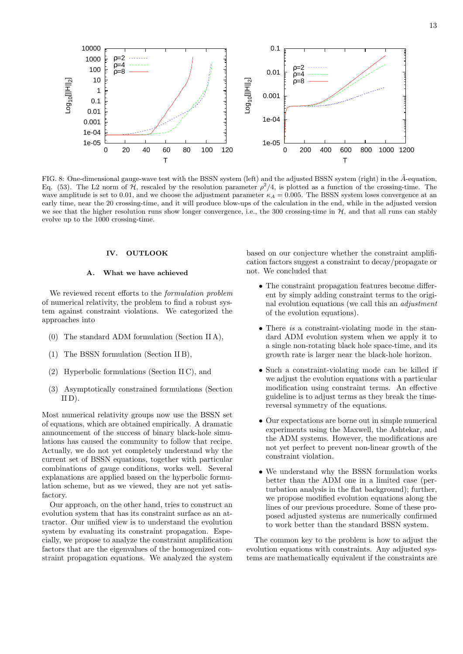

FIG. 8: One-dimensional gauge-wave test with the BSSN system (left) and the adjusted BSSN system (right) in the  $\tilde{A}$ -equation, Eq. (53). The L2 norm of *H*, rescaled by the resolution parameter  $\rho^2/4$ , is plotted as a function of the crossing-time. The wave amplitude is set to 0.01, and we choose the adjustment parameter  $\kappa_A = 0.005$ . The BSSN system loses convergence at an early time, near the 20 crossing-time, and it will produce blow-ups of the calculation in the end, while in the adjusted version we see that the higher resolution runs show longer convergence, i.e., the 300 crossing-time in  $H$ , and that all runs can stably evolve up to the 1000 crossing-time.

## **IV. OUTLOOK**

# **A. What we have achieved**

We reviewed recent efforts to the *formulation problem* of numerical relativity, the problem to find a robust system against constraint violations. We categorized the approaches into

- (0) The standard ADM formulation (Section II A),
- (1) The BSSN formulation (Section II B),
- (2) Hyperbolic formulations (Section II C), and
- (3) Asymptotically constrained formulations (Section  $ID$ ).

Most numerical relativity groups now use the BSSN set of equations, which are obtained empirically. A dramatic announcement of the success of binary black-hole simulations has caused the community to follow that recipe. Actually, we do not yet completely understand why the current set of BSSN equations, together with particular combinations of gauge conditions, works well. Several explanations are applied based on the hyperbolic formulation scheme, but as we viewed, they are not yet satisfactory.

Our approach, on the other hand, tries to construct an evolution system that has its constraint surface as an attractor. Our unified view is to understand the evolution system by evaluating its constraint propagation. Especially, we propose to analyze the constraint amplification factors that are the eigenvalues of the homogenized constraint propagation equations. We analyzed the system based on our conjecture whether the constraint amplification factors suggest a constraint to decay/propagate or not. We concluded that

- *•* The constraint propagation features become different by simply adding constraint terms to the original evolution equations (we call this an *adjustment* of the evolution equations).
- *•* There *is* a constraint-violating mode in the standard ADM evolution system when we apply it to a single non-rotating black hole space-time, and its growth rate is larger near the black-hole horizon.
- *•* Such a constraint-violating mode can be killed if we adjust the evolution equations with a particular modification using constraint terms. An effective guideline is to adjust terms as they break the timereversal symmetry of the equations.
- *•* Our expectations are borne out in simple numerical experiments using the Maxwell, the Ashtekar, and the ADM systems. However, the modifications are not yet perfect to prevent non-linear growth of the constraint violation.
- *•* We understand why the BSSN formulation works better than the ADM one in a limited case (perturbation analysis in the flat background); further, we propose modified evolution equations along the lines of our previous procedure. Some of these proposed adjusted systems are numerically confirmed to work better than the standard BSSN system.

The common key to the problem is how to adjust the evolution equations with constraints. Any adjusted systems are mathematically equivalent if the constraints are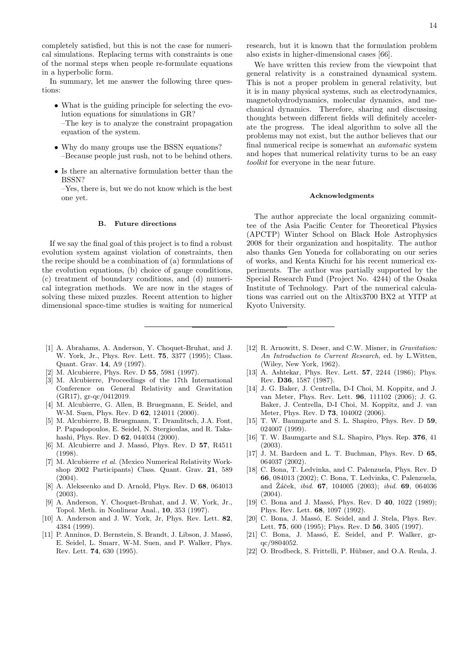completely satisfied, but this is not the case for numerical simulations. Replacing terms with constraints is one of the normal steps when people re-formulate equations in a hyperbolic form.

In summary, let me answer the following three questions:

- *•* What is the guiding principle for selecting the evolution equations for simulations in GR? –The key is to analyze the constraint propagation equation of the system.
- Why do many groups use the BSSN equations? –Because people just rush, not to be behind others.
- *•* Is there an alternative formulation better than the BSSN?

### **B. Future directions**

If we say the final goal of this project is to find a robust evolution system against violation of constraints, then the recipe should be a combination of (a) formulations of the evolution equations, (b) choice of gauge conditions, (c) treatment of boundary conditions, and (d) numerical integration methods. We are now in the stages of solving these mixed puzzles. Recent attention to higher dimensional space-time studies is waiting for numerical research, but it is known that the formulation problem also exists in higher-dimensional cases [66].

We have written this review from the viewpoint that general relativity is a constrained dynamical system. This is not a proper problem in general relativity, but it is in many physical systems, such as electrodynamics, magnetohydrodynamics, molecular dynamics, and mechanical dynamics. Therefore, sharing and discussing thoughts between different fields will definitely accelerate the progress. The ideal algorithm to solve all the problems may not exist, but the author believes that our final numerical recipe is somewhat an *automatic* system and hopes that numerical relativity turns to be an easy *toolkit* for everyone in the near future.

### **Acknowledgments**

The author appreciate the local organizing committee of the Asia Pacific Center for Theoretical Physics (APCTP) Winter School on Black Hole Astrophysics 2008 for their organization and hospitality. The author also thanks Gen Yoneda for collaborating on our series of works, and Kenta Kiuchi for his recent numerical experiments. The author was partially supported by the Special Research Fund (Project No. 4244) of the Osaka Institute of Technology. Part of the numerical calculations was carried out on the Altix3700 BX2 at YITP at Kyoto University.

- [1] A. Abrahams, A. Anderson, Y. Choquet-Bruhat, and J. W. York, Jr., Phys. Rev. Lett. **75**, 3377 (1995); Class. Quant. Grav. **14**, A9 (1997).
- [2] M. Alcubierre, Phys. Rev. D **55**, 5981 (1997).
- [3] M. Alcubierre, Proceedings of the 17th International Conference on General Relativity and Gravitation (GR17), gr-qc/0412019.
- [4] M. Alcubierre, G. Allen, B. Bruegmann, E. Seidel, and W-M. Suen, Phys. Rev. D **62**, 124011 (2000).
- [5] M. Alcubierre, B. Bruegmann, T. Dramlitsch, J.A. Font, P. Papadopoulos, E. Seidel, N. Stergioulas, and R. Takahashi, Phys. Rev. D **62**, 044034 (2000).
- [6] M. Alcubierre and J. Mass´o, Phys. Rev. D **57**, R4511 (1998).
- [7] M. Alcubierre *et al.* (Mexico Numerical Relativity Workshop 2002 Participants) Class. Quant. Grav. **21**, 589 (2004).
- [8] A. Alekseenko and D. Arnold, Phys. Rev. D **68**, 064013 (2003).
- [9] A. Anderson, Y. Choquet-Bruhat, and J. W. York, Jr., Topol. Meth. in Nonlinear Anal., **10**, 353 (1997).
- [10] A. Anderson and J. W. York, Jr, Phys. Rev. Lett. **82**, 4384 (1999).
- [11] P. Anninos, D. Bernstein, S. Brandt, J. Libson, J. Massó, E. Seidel, L. Smarr, W-M. Suen, and P. Walker, Phys. Rev. Lett. **74**, 630 (1995).
- [12] R. Arnowitt, S. Deser, and C.W. Misner, in *Gravitation: An Introduction to Current Research*, ed. by L.Witten, (Wiley, New York, 1962).
- [13] A. Ashtekar, Phys. Rev. Lett. **57**, 2244 (1986); Phys. Rev. **D36**, 1587 (1987).
- [14] J. G. Baker, J. Centrella, D-I Choi, M. Koppitz, and J. van Meter, Phys. Rev. Lett. **96**, 111102 (2006); J. G. Baker, J. Centrella, D-I Choi, M. Koppitz, and J. van Meter, Phys. Rev. D **73**, 104002 (2006).
- [15] T. W. Baumgarte and S. L. Shapiro, Phys. Rev. D **59**, 024007 (1999).
- [16] T. W. Baumgarte and S.L. Shapiro, Phys. Rep. **376**, 41 (2003).
- [17] J. M. Bardeen and L. T. Buchman, Phys. Rev. D **65**, 064037 (2002).
- [18] C. Bona, T. Ledvinka, and C. Palenzuela, Phys. Rev. D **66**, 084013 (2002); C. Bona, T. Ledvinka, C. Palenzuela, and Záček, *ibid.* **67**, 104005 (2003); *ibid.* **69**, 064036 (2004).
- [19] C. Bona and J. Massó, Phys. Rev. D **40**, 1022 (1989); Phys. Rev. Lett. **68**, 1097 (1992).
- [20] C. Bona, J. Massó, E. Seidel, and J. Stela, Phys. Rev. Lett. **75**, 600 (1995); Phys. Rev. D **56**, 3405 (1997).
- [21] C. Bona, J. Massó, E. Seidel, and P. Walker, grqc/9804052.
- [22] O. Brodbeck, S. Frittelli, P. Hübner, and O.A. Reula, J.

<sup>–</sup>Yes, there is, but we do not know which is the best one yet.